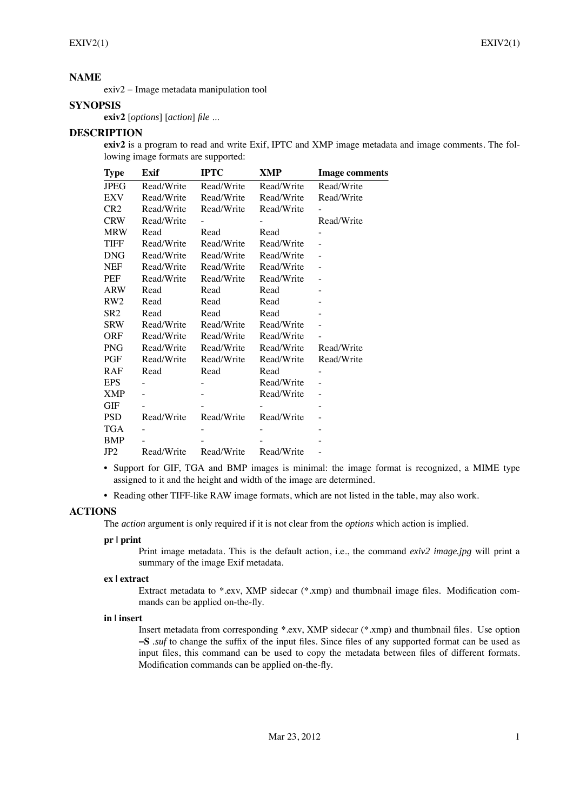## **NAME**

exiv2 − Image metadata manipulation tool

# **SYNOPSIS**

**exiv2** [*options*] [*action*] *file* ...

# **DESCRIPTION**

**exiv2** is a program to read and write Exif, IPTC and XMP image metadata and image comments. The following image formats are supported:

| <b>Type</b>     | Exif       | <b>IPTC</b> | XMP        | <b>Image comments</b> |
|-----------------|------------|-------------|------------|-----------------------|
| <b>JPEG</b>     | Read/Write | Read/Write  | Read/Write | Read/Write            |
| EXV             | Read/Write | Read/Write  | Read/Write | Read/Write            |
| CR <sub>2</sub> | Read/Write | Read/Write  | Read/Write |                       |
| <b>CRW</b>      | Read/Write |             |            | Read/Write            |
| <b>MRW</b>      | Read       | Read        | Read       |                       |
| <b>TIFF</b>     | Read/Write | Read/Write  | Read/Write |                       |
| <b>DNG</b>      | Read/Write | Read/Write  | Read/Write |                       |
| <b>NEF</b>      | Read/Write | Read/Write  | Read/Write |                       |
| PEF             | Read/Write | Read/Write  | Read/Write |                       |
| <b>ARW</b>      | Read       | Read        | Read       |                       |
| RW2             | Read       | Read        | Read       |                       |
| SR <sub>2</sub> | Read       | Read        | Read       |                       |
| SRW             | Read/Write | Read/Write  | Read/Write |                       |
| ORF             | Read/Write | Read/Write  | Read/Write |                       |
| <b>PNG</b>      | Read/Write | Read/Write  | Read/Write | Read/Write            |
| PGF             | Read/Write | Read/Write  | Read/Write | Read/Write            |
| RAF             | Read       | Read        | Read       |                       |
| <b>EPS</b>      |            |             | Read/Write |                       |
| <b>XMP</b>      |            |             | Read/Write |                       |
| <b>GIF</b>      |            |             |            |                       |
| <b>PSD</b>      | Read/Write | Read/Write  | Read/Write |                       |
| <b>TGA</b>      |            |             |            |                       |
| BMP             |            |             |            |                       |
| JP2             | Read/Write | Read/Write  | Read/Write |                       |

• Support for GIF, TGA and BMP images is minimal: the image format is recognized, a MIME type assigned to it and the height and width of the image are determined.

• Reading other TIFF-like RAW image formats, which are not listed in the table, may also work.

# **ACTIONS**

The *action* argument is only required if it is not clear from the *options* which action is implied.

## **pr | print**

Print image metadata. This is the default action, i.e., the command *exiv2 image.jpg* will print a summary of the image Exif metadata.

## **ex | extract**

Extract metadata to \*.exv, XMP sidecar (\*.xmp) and thumbnail image files. Modification commands can be applied on-the-fly.

## **in | insert**

Insert metadata from corresponding \*.exv, XMP sidecar (\*.xmp) and thumbnail files. Use option **−S** *.suf* to change the suffix of the input files. Since files of any supported format can be used as input files, this command can be used to copy the metadata between files of different formats. Modification commands can be applied on-the-fly.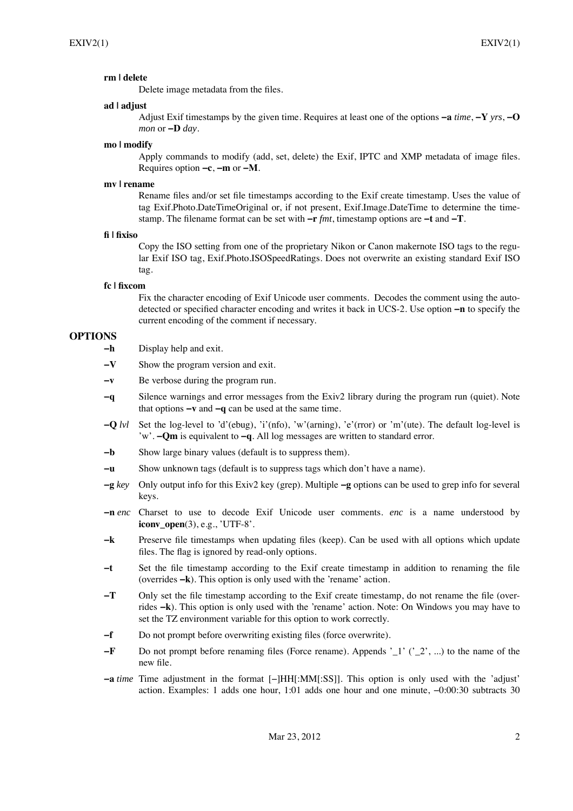## **rm | delete**

Delete image metadata from the files.

## **ad | adjust**

Adjust Exif timestamps by the given time. Requires at least one of the options **−a** *time*, **−Y** *yrs*, **−O** *mon* or **−D** *day*.

#### **mo | modify**

Apply commands to modify (add, set, delete) the Exif, IPTC and XMP metadata of image files. Requires option **−c**, **−m** or **−M**.

## **mv | rename**

Rename files and/or set file timestamps according to the Exif create timestamp. Uses the value of tag Exif.Photo.DateTimeOriginal or, if not present, Exif.Image.DateTime to determine the timestamp. The filename format can be set with **−r** *fmt*, timestamp options are **−t** and **−T**.

#### **fi | fixiso**

Copy the ISO setting from one of the proprietary Nikon or Canon makernote ISO tags to the regular Exif ISO tag, Exif.Photo.ISOSpeedRatings. Does not overwrite an existing standard Exif ISO tag.

## **fc | fixcom**

Fix the character encoding of Exif Unicode user comments. Decodes the comment using the autodetected or specified character encoding and writes it back in UCS-2. Use option **−n** to specify the current encoding of the comment if necessary.

# **OPTIONS**

- **−h** Display help and exit.
- **−V** Show the program version and exit.
- **−v** Be verbose during the program run.
- **−q** Silence warnings and error messages from the Exiv2 library during the program run (quiet). Note that options **−v** and **−q** can be used at the same time.
- **−Q** *lvl* Set the log-level to 'd'(ebug), 'i'(nfo), 'w'(arning), 'e'(rror) or 'm'(ute). The default log-level is 'w'. **−Qm** is equivalent to **−q**. All log messages are written to standard error.
- **−b** Show large binary values (default is to suppress them).
- **−u** Show unknown tags (default is to suppress tags which don't have a name).
- **−g** *key* Only output info for this Exiv2 key (grep). Multiple **−g** options can be used to grep info for several keys.
- **−n** *enc* Charset to use to decode Exif Unicode user comments. *enc* is a name understood by **iconv** open(3), e.g., 'UTF-8'.
- **−k** Preserve file timestamps when updating files (keep). Can be used with all options which update files. The flag is ignored by read-only options.
- **−t** Set the file timestamp according to the Exif create timestamp in addition to renaming the file (overrides **−k**). This option is only used with the 'rename' action.
- **−T** Only set the file timestamp according to the Exif create timestamp, do not rename the file (overrides **−k**). This option is only used with the 'rename' action. Note: On Windows you may have to set the TZ environment variable for this option to work correctly.
- **−f** Do not prompt before overwriting existing files (force overwrite).
- **−<b>F** Do not prompt before renaming files (Force rename). Appends ' 1' ('2', ...) to the name of the new file.
- **−a** *time* Time adjustment in the format [−]HH[:MM[:SS]]. This option is only used with the 'adjust' action. Examples: 1 adds one hour, 1:01 adds one hour and one minute, −0:00:30 subtracts 30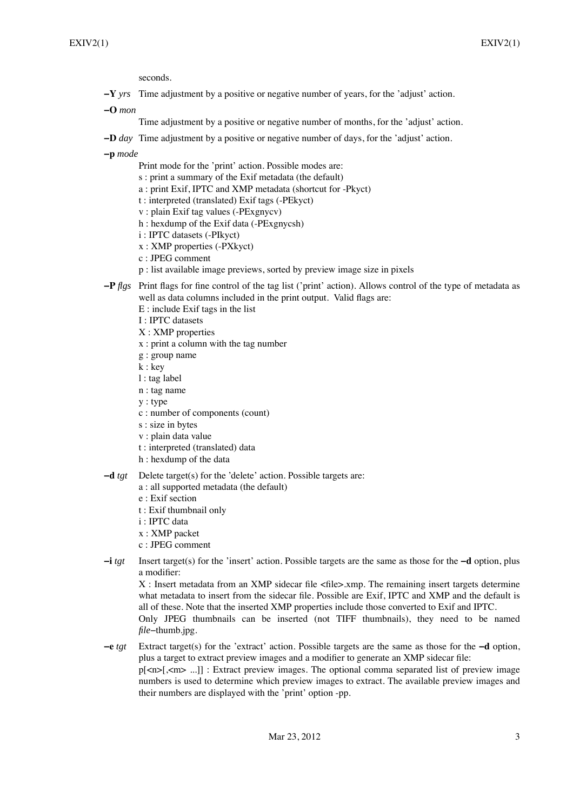seconds.

**−Y** *yrs* Time adjustment by a positive or negative number of years, for the 'adjust' action.

**−O** *mon*

- Time adjustment by a positive or negative number of months, for the 'adjust' action.
- **−D** *day* Time adjustment by a positive or negative number of days, for the 'adjust' action.

**−p** *mode*

- Print mode for the 'print' action. Possible modes are:
- s : print a summary of the Exif metadata (the default)
- a : print Exif, IPTC and XMP metadata (shortcut for -Pkyct)
- t : interpreted (translated) Exif tags (-PEkyct)
- v : plain Exif tag values (-PExgnycv)
- h : hexdump of the Exif data (-PExgnycsh)
- i : IPTC datasets (-PIkyct)
- x : XMP properties (-PXkyct)
- c : JPEG comment
- p : list available image previews, sorted by preview image size in pixels
- **−P** *flgs* Print flags for fine control of the tag list ('print' action). Allows control of the type of metadata as well as data columns included in the print output. Valid flags are:
	- E : include Exif tags in the list
	- I : IPTC datasets
	- X : XMP properties
	- x : print a column with the tag number
	- g : group name
	- k : key
	- l : tag label
	- n : tag name
	- y : type
	- c : number of components (count)
	- s : size in bytes
	- v : plain data value
	- t : interpreted (translated) data
	- h : hexdump of the data
- **−d** *tgt* Delete target(s) for the 'delete' action. Possible targets are:
	- a : all supported metadata (the default)
	- e : Exif section
	- t : Exif thumbnail only
	- i : IPTC data
	- x : XMP packet
	- c : JPEG comment
- **−i** *tgt* Insert target(s) for the 'insert' action. Possible targets are the same as those for the **−d** option, plus a modifier:

X : Insert metadata from an XMP sidecar file <file>.xmp. The remaining insert targets determine what metadata to insert from the sidecar file. Possible are Exif, IPTC and XMP and the default is all of these. Note that the inserted XMP properties include those converted to Exif and IPTC. Only JPEG thumbnails can be inserted (not TIFF thumbnails), they need to be named *file*−thumb.jpg.

**−e** *tgt* Extract target(s) for the 'extract' action. Possible targets are the same as those for the **−d** option, plus a target to extract preview images and a modifier to generate an XMP sidecar file: p[<n>[,<m> ...]] : Extract preview images. The optional comma separated list of preview image numbers is used to determine which preview images to extract. The available preview images and their numbers are displayed with the 'print' option -pp.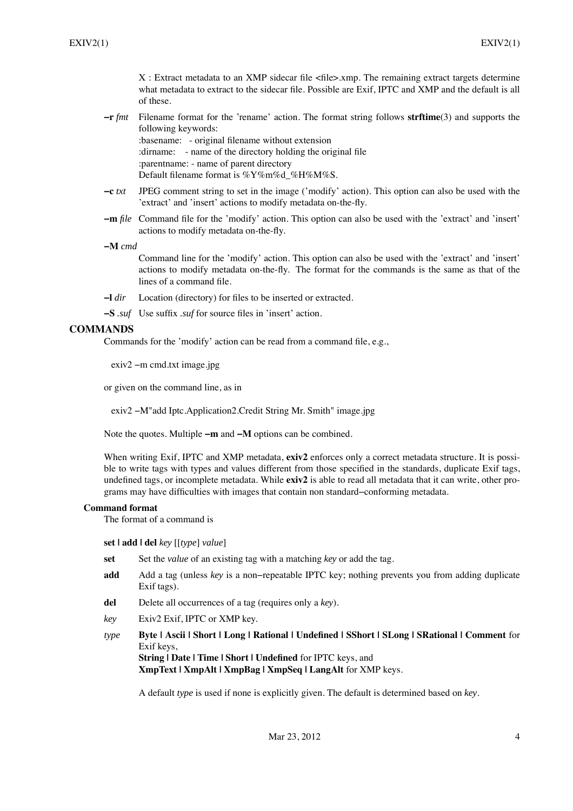X : Extract metadata to an XMP sidecar file <file>.xmp. The remaining extract targets determine what metadata to extract to the sidecar file. Possible are Exif, IPTC and XMP and the default is all of these.

**−r** *fmt* Filename format for the 'rename' action. The format string follows **strftime**(3) and supports the following keywords:

:basename: - original filename without extension :dirname: - name of the directory holding the original file :parentname: - name of parent directory Default filename format is %Y%m%d %H%M%S.

- **−c** *txt* JPEG comment string to set in the image ('modify' action). This option can also be used with the 'extract' and 'insert' actions to modify metadata on-the-fly.
- **−m** *file* Command file for the 'modify' action. This option can also be used with the 'extract' and 'insert' actions to modify metadata on-the-fly.
- **−M** *cmd*

Command line for the 'modify' action. This option can also be used with the 'extract' and 'insert' actions to modify metadata on-the-fly. The format for the commands is the same as that of the lines of a command file.

**−l** *dir* Location (directory) for files to be inserted or extracted.

**−S** *.suf* Use suffix *.suf* for source files in 'insert' action.

# **COMMANDS**

Commands for the 'modify' action can be read from a command file, e.g.,

exiv2 −m cmd.txt image.jpg

or given on the command line, as in

exiv2 −M"add Iptc.Application2.Credit String Mr. Smith" image.jpg

Note the quotes. Multiple **−m** and **−M** options can be combined.

When writing Exif, IPTC and XMP metadata, **exiv2** enforces only a correct metadata structure. It is possible to write tags with types and values different from those specified in the standards, duplicate Exif tags, undefined tags, or incomplete metadata. While **exiv2** is able to read all metadata that it can write, other programs may have difficulties with images that contain non standard−conforming metadata.

## **Command format**

The format of a command is

**set | add | del** *key* [[*type*] *value*]

- **set** Set the *value* of an existing tag with a matching *key* or add the tag.
- **add** Add a tag (unless *key* is a non−repeatable IPTC key; nothing prevents you from adding duplicate Exif tags).
- **del** Delete all occurrences of a tag (requires only a *key*).
- *key* Exiv2 Exif, IPTC or XMP key.

*type* **Byte | Ascii | Short | Long | Rational | Undefined | SShort | SLong | SRational | Comment** for Exif keys, **String | Date | Time | Short | Undefined** for IPTC keys, and **XmpText | XmpAlt | XmpBag | XmpSeq | LangAlt** for XMP keys.

A default *type* is used if none is explicitly given. The default is determined based on *key*.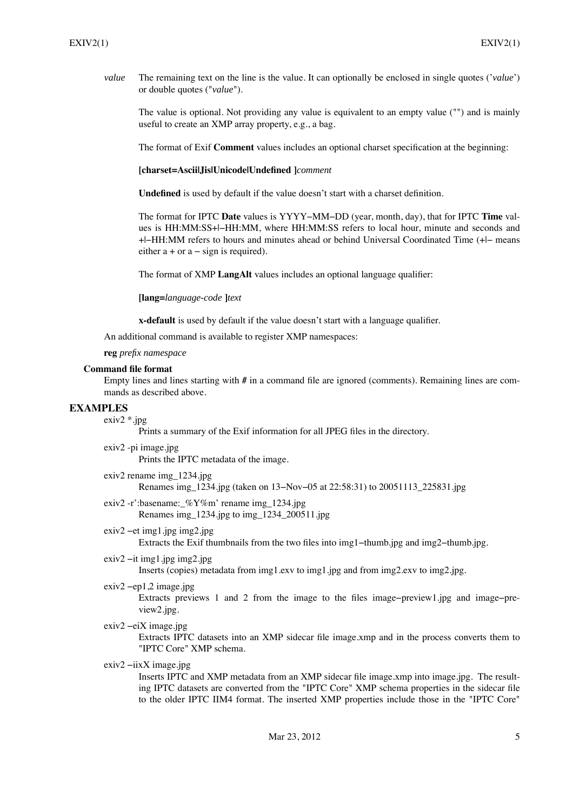*value* The remaining text on the line is the value. It can optionally be enclosed in single quotes ('*value*') or double quotes ("*value*").

The value is optional. Not providing any value is equivalent to an empty value ("") and is mainly useful to create an XMP array property, e.g., a bag.

The format of Exif **Comment** values includes an optional charset specification at the beginning:

**[charset=Ascii|Jis|Unicode|Undefined ]***comment*

**Undefined** is used by default if the value doesn't start with a charset definition.

The format for IPTC **Date** values is YYYY−MM−DD (year, month, day), that for IPTC **Time** values is HH:MM:SS+|−HH:MM, where HH:MM:SS refers to local hour, minute and seconds and +|−HH:MM refers to hours and minutes ahead or behind Universal Coordinated Time (+|− means either  $a + or a - sign is required$ .

The format of XMP **LangAlt** values includes an optional language qualifier:

**[lang=***language-code* **]***text*

**x-default** is used by default if the value doesn't start with a language qualifier.

An additional command is available to register XMP namespaces:

**reg** *prefix namespace*

#### **Command file format**

Empty lines and lines starting with **#** in a command file are ignored (comments). Remaining lines are commands as described above.

## **EXAMPLES**

exiv2 \*.jpg

Prints a summary of the Exif information for all JPEG files in the directory.

exiv2 -pi image.jpg Prints the IPTC metadata of the image.

- exiv2 rename img\_1234.jpg Renames img\_1234.jpg (taken on 13−Nov−05 at 22:58:31) to 20051113\_225831.jpg
- exiv2 -r':basename: %Y%m' rename img 1234.jpg Renames img\_1234.jpg to img\_1234\_200511.jpg
- exiv2 −et img1.jpg img2.jpg Extracts the Exif thumbnails from the two files into img1−thumb.jpg and img2−thumb.jpg.
- exiv2 −it img1.jpg img2.jpg Inserts (copies) metadata from img1.exv to img1.jpg and from img2.exv to img2.jpg.
- exiv2 −ep1,2 image.jpg

Extracts previews 1 and 2 from the image to the files image−preview1.jpg and image−preview2.jpg.

exiv2 −eiX image.jpg

Extracts IPTC datasets into an XMP sidecar file image.xmp and in the process converts them to "IPTC Core" XMP schema.

exiv2 −iixX image.jpg

Inserts IPTC and XMP metadata from an XMP sidecar file image.xmp into image.jpg. The resulting IPTC datasets are converted from the "IPTC Core" XMP schema properties in the sidecar file to the older IPTC IIM4 format. The inserted XMP properties include those in the "IPTC Core"